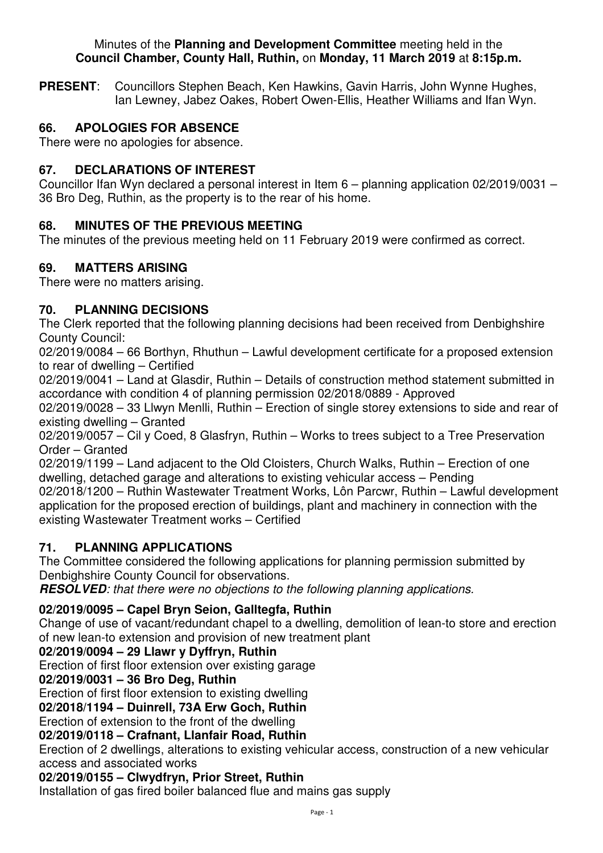#### Minutes of the **Planning and Development Committee** meeting held in the **Council Chamber, County Hall, Ruthin,** on **Monday, 11 March 2019** at **8:15p.m.**

**PRESENT**: Councillors Stephen Beach, Ken Hawkins, Gavin Harris, John Wynne Hughes, Ian Lewney, Jabez Oakes, Robert Owen-Ellis, Heather Williams and Ifan Wyn.

# **66. APOLOGIES FOR ABSENCE**

There were no apologies for absence.

## **67. DECLARATIONS OF INTEREST**

Councillor Ifan Wyn declared a personal interest in Item 6 – planning application 02/2019/0031 – 36 Bro Deg, Ruthin, as the property is to the rear of his home.

# **68. MINUTES OF THE PREVIOUS MEETING**

The minutes of the previous meeting held on 11 February 2019 were confirmed as correct.

## **69. MATTERS ARISING**

There were no matters arising.

## **70. PLANNING DECISIONS**

The Clerk reported that the following planning decisions had been received from Denbighshire County Council:

02/2019/0084 – 66 Borthyn, Rhuthun – Lawful development certificate for a proposed extension to rear of dwelling – Certified

02/2019/0041 – Land at Glasdir, Ruthin – Details of construction method statement submitted in accordance with condition 4 of planning permission 02/2018/0889 - Approved

02/2019/0028 – 33 Llwyn Menlli, Ruthin – Erection of single storey extensions to side and rear of existing dwelling – Granted

02/2019/0057 – Cil y Coed, 8 Glasfryn, Ruthin – Works to trees subject to a Tree Preservation Order – Granted

02/2019/1199 – Land adjacent to the Old Cloisters, Church Walks, Ruthin – Erection of one dwelling, detached garage and alterations to existing vehicular access – Pending

02/2018/1200 – Ruthin Wastewater Treatment Works, Lôn Parcwr, Ruthin – Lawful development application for the proposed erection of buildings, plant and machinery in connection with the existing Wastewater Treatment works – Certified

## **71. PLANNING APPLICATIONS**

The Committee considered the following applications for planning permission submitted by Denbighshire County Council for observations.

**RESOLVED***: that there were no objections to the following planning applications.* 

## **02/2019/0095 – Capel Bryn Seion, Galltegfa, Ruthin**

Change of use of vacant/redundant chapel to a dwelling, demolition of lean-to store and erection of new lean-to extension and provision of new treatment plant

## **02/2019/0094 – 29 Llawr y Dyffryn, Ruthin**

Erection of first floor extension over existing garage

## **02/2019/0031 – 36 Bro Deg, Ruthin**

Erection of first floor extension to existing dwelling

**02/2018/1194 – Duinrell, 73A Erw Goch, Ruthin**

Erection of extension to the front of the dwelling

## **02/2019/0118 – Crafnant, Llanfair Road, Ruthin**

Erection of 2 dwellings, alterations to existing vehicular access, construction of a new vehicular access and associated works

## **02/2019/0155 – Clwydfryn, Prior Street, Ruthin**

Installation of gas fired boiler balanced flue and mains gas supply